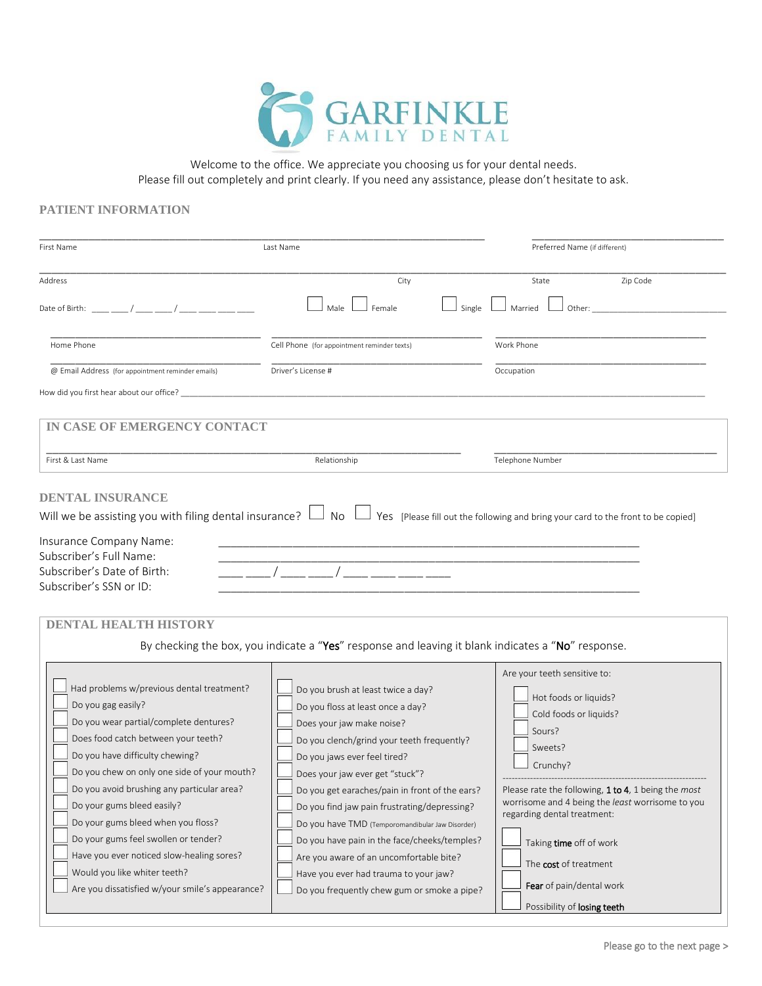

Welcome to the office. We appreciate you choosing us for your dental needs. Please fill out completely and print clearly. If you need any assistance, please don't hesitate to ask.

## **PATIENT INFORMATION**

| First Name<br>Last Name                                                                                                                                                                                                                                                                                                                                                                                                                                                                                                      |                                                                                                                                                                                                                                                                                                                                                                                                                                                                                                                                                                | Preferred Name (if different)                                                                                                                                                                                                                                                                                                                                             |  |
|------------------------------------------------------------------------------------------------------------------------------------------------------------------------------------------------------------------------------------------------------------------------------------------------------------------------------------------------------------------------------------------------------------------------------------------------------------------------------------------------------------------------------|----------------------------------------------------------------------------------------------------------------------------------------------------------------------------------------------------------------------------------------------------------------------------------------------------------------------------------------------------------------------------------------------------------------------------------------------------------------------------------------------------------------------------------------------------------------|---------------------------------------------------------------------------------------------------------------------------------------------------------------------------------------------------------------------------------------------------------------------------------------------------------------------------------------------------------------------------|--|
| Address<br>Date of Birth: / /                                                                                                                                                                                                                                                                                                                                                                                                                                                                                                | City<br>Single<br>Male<br>Female                                                                                                                                                                                                                                                                                                                                                                                                                                                                                                                               | Zip Code<br>State<br>Married<br>Other:                                                                                                                                                                                                                                                                                                                                    |  |
| Home Phone<br>@ Email Address (for appointment reminder emails)<br>How did you first hear about our office? _______                                                                                                                                                                                                                                                                                                                                                                                                          | Cell Phone (for appointment reminder texts)<br>Driver's License #                                                                                                                                                                                                                                                                                                                                                                                                                                                                                              | Work Phone<br>Occupation                                                                                                                                                                                                                                                                                                                                                  |  |
| IN CASE OF EMERGENCY CONTACT<br>First & Last Name                                                                                                                                                                                                                                                                                                                                                                                                                                                                            | Relationship                                                                                                                                                                                                                                                                                                                                                                                                                                                                                                                                                   | Telephone Number                                                                                                                                                                                                                                                                                                                                                          |  |
| <b>DENTAL INSURANCE</b><br>Will we be assisting you with filing dental insurance? $\Box$ No $\Box$ Yes [Please fill out the following and bring your card to the front to be copied]<br>Insurance Company Name:<br>Subscriber's Full Name:<br>Subscriber's Date of Birth:<br>Subscriber's SSN or ID:<br><b>DENTAL HEALTH HISTORY</b>                                                                                                                                                                                         | By checking the box, you indicate a "Yes" response and leaving it blank indicates a "No" response.                                                                                                                                                                                                                                                                                                                                                                                                                                                             |                                                                                                                                                                                                                                                                                                                                                                           |  |
| Had problems w/previous dental treatment?<br>Do you gag easily?<br>Do you wear partial/complete dentures?<br>Does food catch between your teeth?<br>Do you have difficulty chewing?<br>Do you chew on only one side of your mouth?<br>Do you avoid brushing any particular area?<br>Do your gums bleed easily?<br>Do your gums bleed when you floss?<br>Do your gums feel swollen or tender?<br>Have you ever noticed slow-healing sores?<br>Would you like whiter teeth?<br>Are you dissatisfied w/your smile's appearance? | Do you brush at least twice a day?<br>Do you floss at least once a day?<br>Does your jaw make noise?<br>Do you clench/grind your teeth frequently?<br>Do you jaws ever feel tired?<br>Does your jaw ever get "stuck"?<br>Do you get earaches/pain in front of the ears?<br>Do you find jaw pain frustrating/depressing?<br>Do you have TMD (Temporomandibular Jaw Disorder)<br>Do you have pain in the face/cheeks/temples?<br>Are you aware of an uncomfortable bite?<br>Have you ever had trauma to your jaw?<br>Do you frequently chew gum or smoke a pipe? | Are your teeth sensitive to:<br>Hot foods or liquids?<br>Cold foods or liquids?<br>Sours?<br>Sweets?<br>Crunchy?<br>Please rate the following, 1 to 4, 1 being the most<br>worrisome and 4 being the least worrisome to you<br>regarding dental treatment:<br>Taking time off of work<br>The cost of treatment<br>Fear of pain/dental work<br>Possibility of losing teeth |  |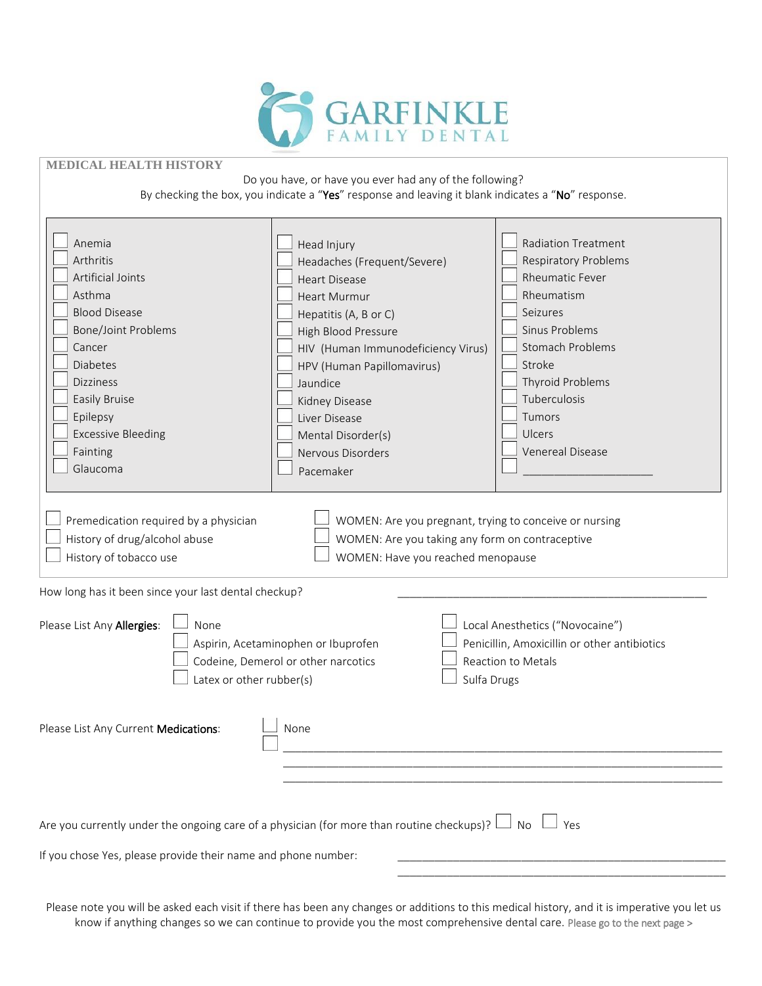

## **MEDICAL HEALTH HISTORY**

Do you have, or have you ever had any of the following? By checking the box, you indicate a "Yes" response and leaving it blank indicates a "No" response.

| Anemia<br>Arthritis<br>Artificial Joints<br>Asthma<br><b>Blood Disease</b><br><b>Bone/Joint Problems</b><br>Cancer<br><b>Diabetes</b><br><b>Dizziness</b><br>Easily Bruise<br>Epilepsy<br><b>Excessive Bleeding</b><br>Fainting<br>Glaucoma | Head Injury<br>Headaches (Frequent/Severe)<br><b>Heart Disease</b><br><b>Heart Murmur</b><br>Hepatitis (A, B or C)<br>High Blood Pressure<br>HIV (Human Immunodeficiency Virus)<br>HPV (Human Papillomavirus)<br>Jaundice<br>Kidney Disease<br>Liver Disease<br>Mental Disorder(s)<br>Nervous Disorders<br>Pacemaker | <b>Radiation Treatment</b><br><b>Respiratory Problems</b><br><b>Rheumatic Fever</b><br>Rheumatism<br>Seizures<br>Sinus Problems<br><b>Stomach Problems</b><br>Stroke<br>Thyroid Problems<br>Tuberculosis<br>Tumors<br>Ulcers<br><b>Venereal Disease</b> |
|---------------------------------------------------------------------------------------------------------------------------------------------------------------------------------------------------------------------------------------------|----------------------------------------------------------------------------------------------------------------------------------------------------------------------------------------------------------------------------------------------------------------------------------------------------------------------|---------------------------------------------------------------------------------------------------------------------------------------------------------------------------------------------------------------------------------------------------------|
| Premedication required by a physician<br>History of drug/alcohol abuse<br>History of tobacco use<br>How long has it been since your last dental checkup?                                                                                    | WOMEN: Are you pregnant, trying to conceive or nursing<br>WOMEN: Are you taking any form on contraceptive<br>WOMEN: Have you reached menopause                                                                                                                                                                       |                                                                                                                                                                                                                                                         |
| Please List Any Allergies:<br>None<br>Latex or other rubber(s)                                                                                                                                                                              | Aspirin, Acetaminophen or Ibuprofen<br>Codeine, Demerol or other narcotics<br>Sulfa Drugs                                                                                                                                                                                                                            | Local Anesthetics ("Novocaine")<br>Penicillin, Amoxicillin or other antibiotics<br>Reaction to Metals                                                                                                                                                   |
| Please List Any Current Medications:                                                                                                                                                                                                        | None                                                                                                                                                                                                                                                                                                                 |                                                                                                                                                                                                                                                         |
| Are you currently under the ongoing care of a physician (for more than routine checkups)? $\Box$ No $\Box$ Yes                                                                                                                              |                                                                                                                                                                                                                                                                                                                      |                                                                                                                                                                                                                                                         |
| If you chose Yes, please provide their name and phone number:                                                                                                                                                                               |                                                                                                                                                                                                                                                                                                                      |                                                                                                                                                                                                                                                         |

Please note you will be asked each visit if there has been any changes or additions to this medical history, and it is imperative you let us know if anything changes so we can continue to provide you the most comprehensive dental care. Please go to the next page >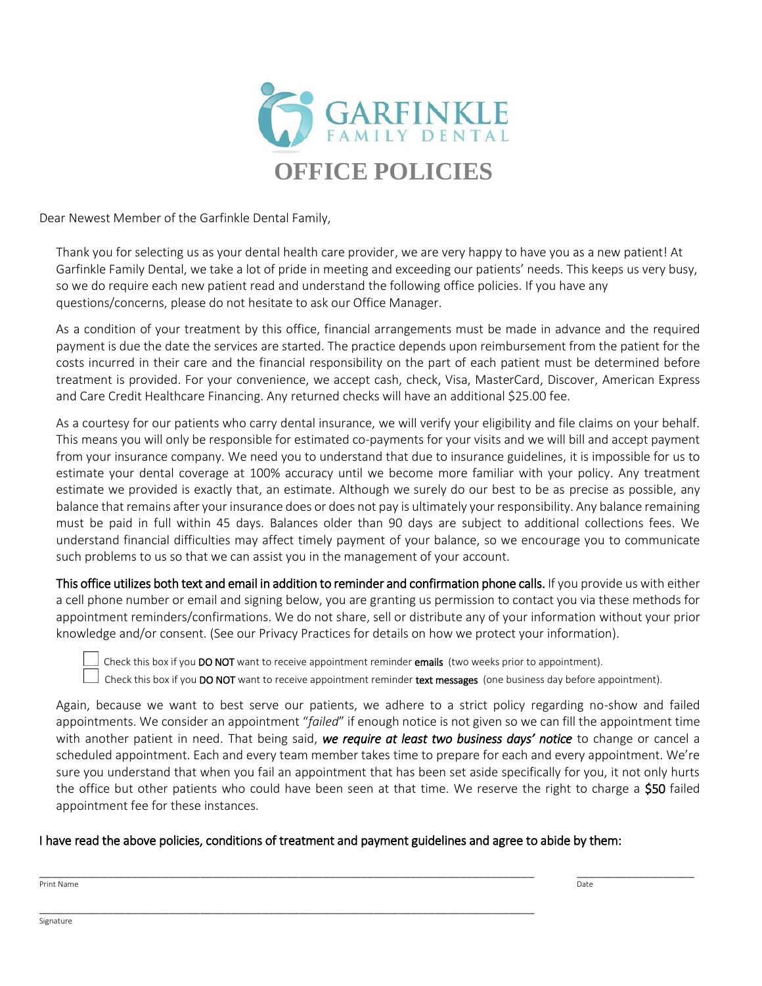

Dear Newest Member of the Garfinkle Dental Family,

Thank you for selecting us as your dental health care provider, we are very happy to have you as a new patient! At Garfinkle Family Dental, we take a lot of pride in meeting and exceeding our patients' needs. This keeps us very busy, so we do require each new patient read and understand the following office policies. If you have any questions/concerns, please do not hesitate to ask our Office Manager.

As a condition of your treatment by this office, financial arrangements must be made in advance and the required payment is due the date the services are started. The practice depends upon reimbursement from the patient for the costs incurred in their care and the financial responsibility on the part of each patient must be determined before treatment is provided. For your convenience, we accept cash, check, Visa, MasterCard, Discover, American Express and Care Credit Healthcare Financing. Any returned checks will have an additional \$25.00 fee.

As a courtesy for our patients who carry dental insurance, we will verify your eligibility and file claims on your behalf. This means you will only be responsible for estimated co-payments for your visits and we will bill and accept payment from your insurance company. We need you to understand that due to insurance guidelines, it is impossible for us to estimate your dental coverage at 100% accuracy until we become more familiar with your policy. Any treatment estimate we provided is exactly that, an estimate. Although we surely do our best to be as precise as possible, any balance that remains after your insurance does or does not pay is ultimately your responsibility. Any balance remaining must be paid in full within 45 days. Balances older than 90 days are subject to additional collections fees. We understand financial difficulties may affect timely payment of your balance, so we encourage you to communicate such problems to us so that we can assist you in the management of your account.

This office utilizes both text and email in addition to reminder and confirmation phone calls. If you provide us with either a cell phone number or email and signing below, you are granting us permission to contact you via these methods for appointment reminders/confirmations. We do not share, sell or distribute any of your information without your prior knowledge and/or consent. (See our Privacy Practices for details on how we protect your information).

Check this box if you DO NOT want to receive appointment reminder emails (two weeks prior to appointment).

Check this box if you DO NOT want to receive appointment reminder text messages (one business day before appointment).

Again, because we want to best serve our patients, we adhere to a strict policy regarding no-show and failed appointments. We consider an appointment "*failed*" if enough notice is not given so we can fill the appointment time with another patient in need. That being said, *we require at least two business days' notice* to change or cancel a scheduled appointment. Each and every team member takes time to prepare for each and every appointment. We're sure you understand that when you fail an appointment that has been set aside specifically for you, it not only hurts the office but other patients who could have been seen at that time. We reserve the right to charge a **\$50** failed appointment fee for these instances.

## I have read the above policies, conditions of treatment and payment guidelines and agree to abide by them:

\_\_\_\_\_\_\_\_\_\_\_\_\_\_\_\_\_\_\_\_\_\_\_\_\_\_\_\_\_\_\_\_\_\_\_\_\_\_\_\_\_\_\_\_\_\_\_\_\_\_\_\_\_\_\_\_\_\_\_\_\_\_\_\_\_\_\_\_\_\_\_\_\_\_\_\_\_\_\_\_ \_\_\_\_\_\_\_\_\_\_\_\_\_\_\_\_\_\_\_ Print Name Date